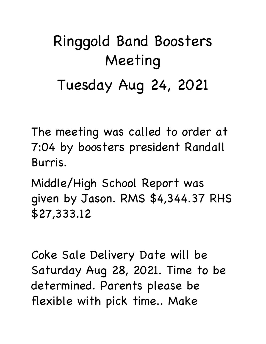## Ringgold Band Boosters Meeting Tuesday Aug 24, 2021

The meeting was called to order at 7:04 by boosters president Randall Burris.

Middle/High School Report was given by Jason. RMS \$4,344.37 RHS \$27,333.12

Coke Sale Delivery Date will be Saturday Aug 28, 2021. Time to be determined. Parents please be flexible with pick time.. Make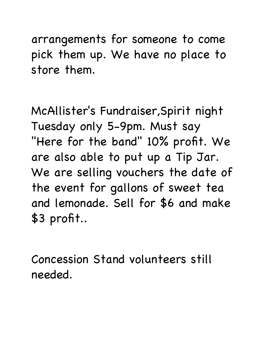arrangements for someone to come pick them up. We have no place to store them.

McAllister's Fundraiser,Spirit night Tuesday only 5-9pm. Must say "Here for the band" 10% profit. We are also able to put up a Tip Jar. We are selling vouchers the date of the event for gallons of sweet tea and lemonade. Sell for \$6 and make \$3 profit..

Concession Stand volunteers still needed.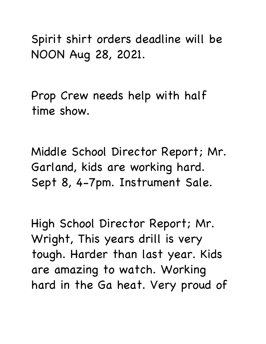Spirit shirt orders deadline will be NOON Aug 28, 2021.

Prop Crew needs help with half time show.

Middle School Director Report; Mr. Garland, kids are working hard. Sept 8, 4-7pm. Instrument Sale.

High School Director Report; Mr. Wright, This years drill is very tough. Harder than last year. Kids are amazing to watch. Working hard in the Ga heat. Very proud of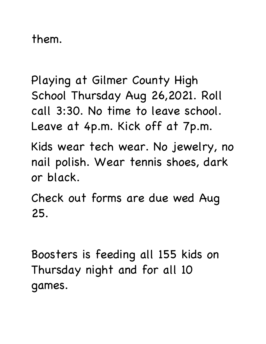them.

Playing at Gilmer County High School Thursday Aug 26,2021. Roll call 3:30. No time to leave school. Leave at 4p.m. Kick off at 7p.m.

Kids wear tech wear. No jewelry, no nail polish. Wear tennis shoes, dark or black.

Check out forms are due wed Aug 25.

Boosters is feeding all 155 kids on Thursday night and for all 10 games.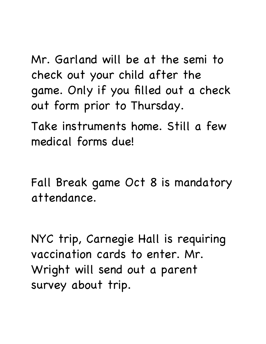Mr. Garland will be at the semi to check out your child after the game. Only if you filled out a check out form prior to Thursday.

Take instruments home. Still a few medical forms due!

Fall Break game Oct 8 is mandatory attendance.

NYC trip, Carnegie Hall is requiring vaccination cards to enter. Mr. Wright will send out a parent survey about trip.